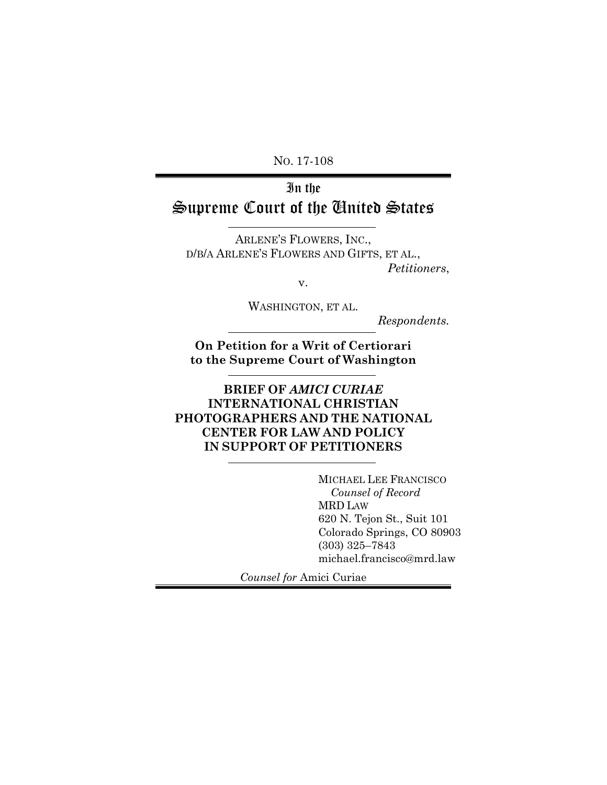NO. 17-108

# In the Supreme Court of the United States

ARLENE'S FLOWERS, INC., D/B/A ARLENE'S FLOWERS AND GIFTS, ET AL., *Petitioners*,

v.

WASHINGTON, ET AL.

*Respondents.*

**On Petition for a Writ of Certiorari to the Supreme Court of Washington**

**BRIEF OF** *AMICI CURIAE* **INTERNATIONAL CHRISTIAN PHOTOGRAPHERS AND THE NATIONAL CENTER FOR LAW AND POLICY IN SUPPORT OF PETITIONERS**

> MICHAEL LEE FRANCISCO  *Counsel of Record* MRD LAW 620 N. Tejon St., Suit 101 Colorado Springs, CO 80903 (303) 325–7843 michael.francisco@mrd.law

*Counsel for* Amici Curiae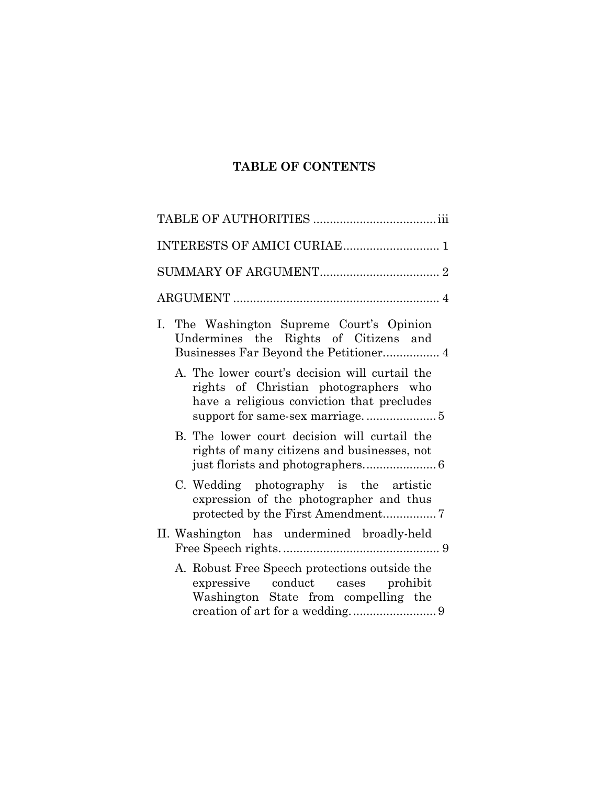## **TABLE OF CONTENTS**

| I. The Washington Supreme Court's Opinion<br>Undermines the Rights of Citizens and                                                    |
|---------------------------------------------------------------------------------------------------------------------------------------|
| A. The lower court's decision will curtail the<br>rights of Christian photographers who<br>have a religious conviction that precludes |
| B. The lower court decision will curtail the<br>rights of many citizens and businesses, not                                           |
| C. Wedding photography is the artistic<br>expression of the photographer and thus<br>protected by the First Amendment7                |
| II. Washington has undermined broadly-held                                                                                            |
| A. Robust Free Speech protections outside the<br>expressive conduct cases prohibit<br>Washington State from compelling the            |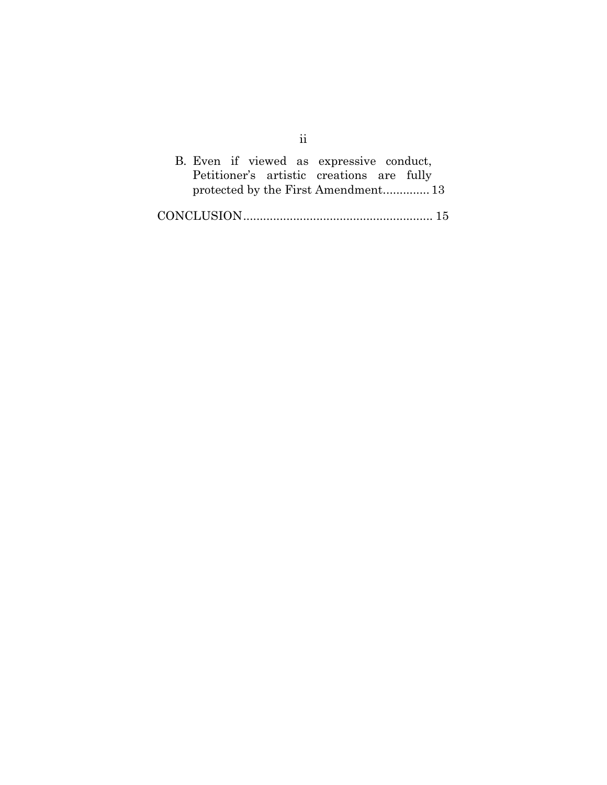| B. Even if viewed as expressive conduct,  |  |  |  |                                     |  |
|-------------------------------------------|--|--|--|-------------------------------------|--|
| Petitioner's artistic creations are fully |  |  |  |                                     |  |
|                                           |  |  |  | protected by the First Amendment 13 |  |
|                                           |  |  |  |                                     |  |

ii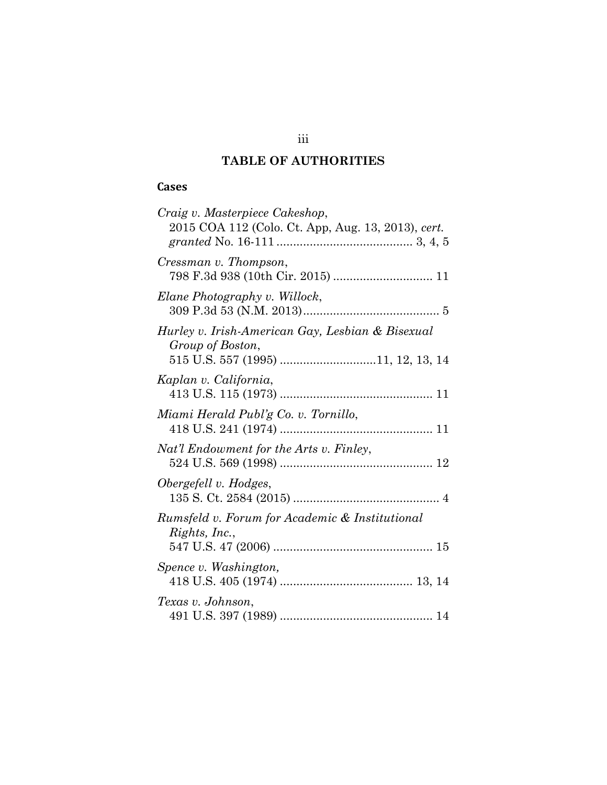## **TABLE OF AUTHORITIES**

## **Cases**

| Craig v. Masterpiece Cakeshop,                                                                             |
|------------------------------------------------------------------------------------------------------------|
| 2015 COA 112 (Colo. Ct. App, Aug. 13, 2013), cert.                                                         |
| Cressman v. Thompson,<br>798 F.3d 938 (10th Cir. 2015)  11                                                 |
| Elane Photography v. Willock,                                                                              |
| Hurley v. Irish-American Gay, Lesbian & Bisexual<br>Group of Boston,<br>515 U.S. 557 (1995) 11, 12, 13, 14 |
| Kaplan v. California,                                                                                      |
| Miami Herald Publ'g Co. v. Tornillo,                                                                       |
| Nat'l Endowment for the Arts v. Finley,                                                                    |
| Obergefell v. Hodges,                                                                                      |
| Rumsfeld v. Forum for Academic & Institutional<br>Rights, Inc.,                                            |
| Spence v. Washington,                                                                                      |
| Texas v. Johnson,                                                                                          |

iii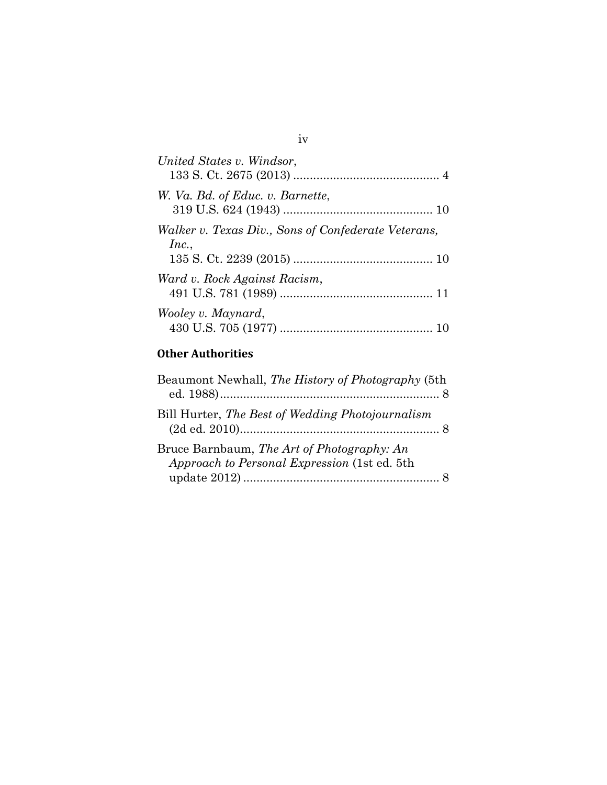| United States v. Windsor,                                    |
|--------------------------------------------------------------|
| W. Va. Bd. of Educ. v. Barnette,                             |
| Walker v. Texas Div., Sons of Confederate Veterans,<br>Inc., |
| Ward v. Rock Against Racism,                                 |
| Wooley v. Maynard,                                           |

## **Other Authorities**

| Beaumont Newhall, The History of Photography (5th                                          |  |
|--------------------------------------------------------------------------------------------|--|
| Bill Hurter, The Best of Wedding Photojournalism                                           |  |
| Bruce Barnbaum, The Art of Photography: An<br>Approach to Personal Expression (1st ed. 5th |  |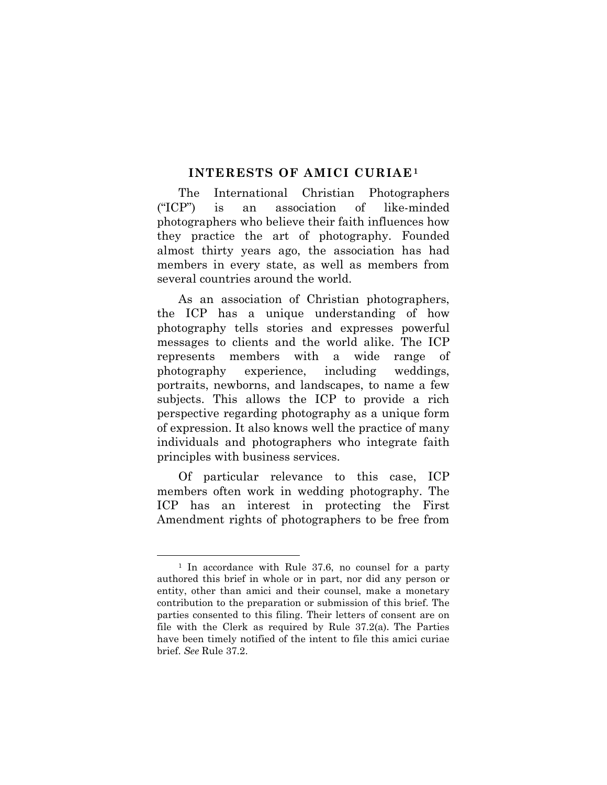#### **INTERESTS OF AMICI CURIAE[1](#page-5-0)**

The International Christian Photographers ("ICP") is an association of like-minded photographers who believe their faith influences how they practice the art of photography. Founded almost thirty years ago, the association has had members in every state, as well as members from several countries around the world.

As an association of Christian photographers, the ICP has a unique understanding of how photography tells stories and expresses powerful messages to clients and the world alike. The ICP represents members with a wide range of photography experience, including weddings, portraits, newborns, and landscapes, to name a few subjects. This allows the ICP to provide a rich perspective regarding photography as a unique form of expression. It also knows well the practice of many individuals and photographers who integrate faith principles with business services.

Of particular relevance to this case, ICP members often work in wedding photography. The ICP has an interest in protecting the First Amendment rights of photographers to be free from

<span id="page-5-0"></span><sup>&</sup>lt;sup>1</sup> In accordance with Rule 37.6, no counsel for a party authored this brief in whole or in part, nor did any person or entity, other than amici and their counsel, make a monetary contribution to the preparation or submission of this brief. The parties consented to this filing. Their letters of consent are on file with the Clerk as required by Rule 37.2(a). The Parties have been timely notified of the intent to file this amici curiae brief. *See* Rule 37.2.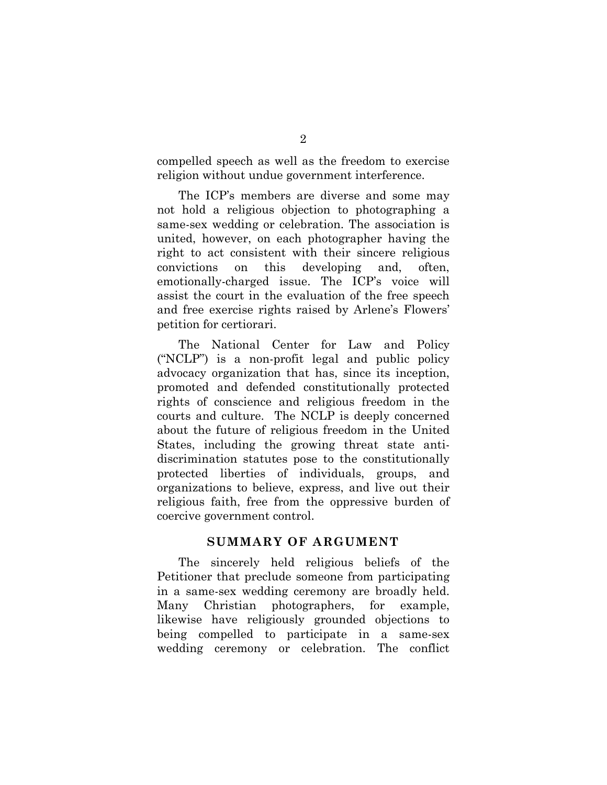compelled speech as well as the freedom to exercise religion without undue government interference.

The ICP's members are diverse and some may not hold a religious objection to photographing a same-sex wedding or celebration. The association is united, however, on each photographer having the right to act consistent with their sincere religious convictions on this developing and, often, emotionally-charged issue. The ICP's voice will assist the court in the evaluation of the free speech and free exercise rights raised by Arlene's Flowers' petition for certiorari.

The National Center for Law and Policy ("NCLP") is a non-profit legal and public policy advocacy organization that has, since its inception, promoted and defended constitutionally protected rights of conscience and religious freedom in the courts and culture. The NCLP is deeply concerned about the future of religious freedom in the United States, including the growing threat state antidiscrimination statutes pose to the constitutionally protected liberties of individuals, groups, and organizations to believe, express, and live out their religious faith, free from the oppressive burden of coercive government control.

#### **SUMMARY OF ARGUMENT**

The sincerely held religious beliefs of the Petitioner that preclude someone from participating in a same-sex wedding ceremony are broadly held. Many Christian photographers, for example, likewise have religiously grounded objections to being compelled to participate in a same-sex wedding ceremony or celebration. The conflict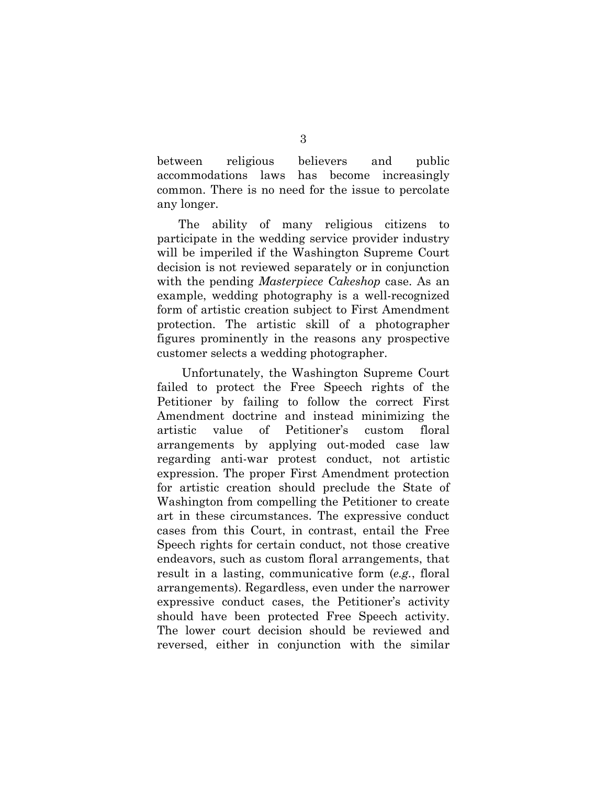between religious believers and public accommodations laws has become increasingly common. There is no need for the issue to percolate any longer.

The ability of many religious citizens to participate in the wedding service provider industry will be imperiled if the Washington Supreme Court decision is not reviewed separately or in conjunction with the pending *Masterpiece Cakeshop* case. As an example, wedding photography is a well-recognized form of artistic creation subject to First Amendment protection. The artistic skill of a photographer figures prominently in the reasons any prospective customer selects a wedding photographer.

Unfortunately, the Washington Supreme Court failed to protect the Free Speech rights of the Petitioner by failing to follow the correct First Amendment doctrine and instead minimizing the artistic value of Petitioner's custom floral arrangements by applying out-moded case law regarding anti-war protest conduct, not artistic expression. The proper First Amendment protection for artistic creation should preclude the State of Washington from compelling the Petitioner to create art in these circumstances. The expressive conduct cases from this Court, in contrast, entail the Free Speech rights for certain conduct, not those creative endeavors, such as custom floral arrangements, that result in a lasting, communicative form (*e.g.*, floral arrangements). Regardless, even under the narrower expressive conduct cases, the Petitioner's activity should have been protected Free Speech activity. The lower court decision should be reviewed and reversed, either in conjunction with the similar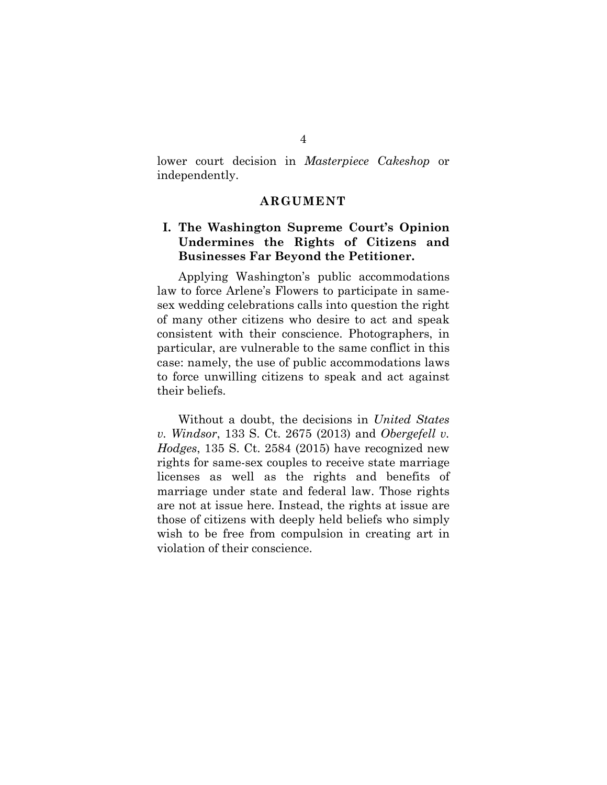lower court decision in *Masterpiece Cakeshop* or independently.

#### **ARGUMENT**

### **I. The Washington Supreme Court's Opinion Undermines the Rights of Citizens and Businesses Far Beyond the Petitioner.**

Applying Washington's public accommodations law to force Arlene's Flowers to participate in samesex wedding celebrations calls into question the right of many other citizens who desire to act and speak consistent with their conscience. Photographers, in particular, are vulnerable to the same conflict in this case: namely, the use of public accommodations laws to force unwilling citizens to speak and act against their beliefs.

Without a doubt, the decisions in *United States v. Windsor*, 133 S. Ct. 2675 (2013) and *Obergefell v. Hodges*, 135 S. Ct. 2584 (2015) have recognized new rights for same-sex couples to receive state marriage licenses as well as the rights and benefits of marriage under state and federal law. Those rights are not at issue here. Instead, the rights at issue are those of citizens with deeply held beliefs who simply wish to be free from compulsion in creating art in violation of their conscience.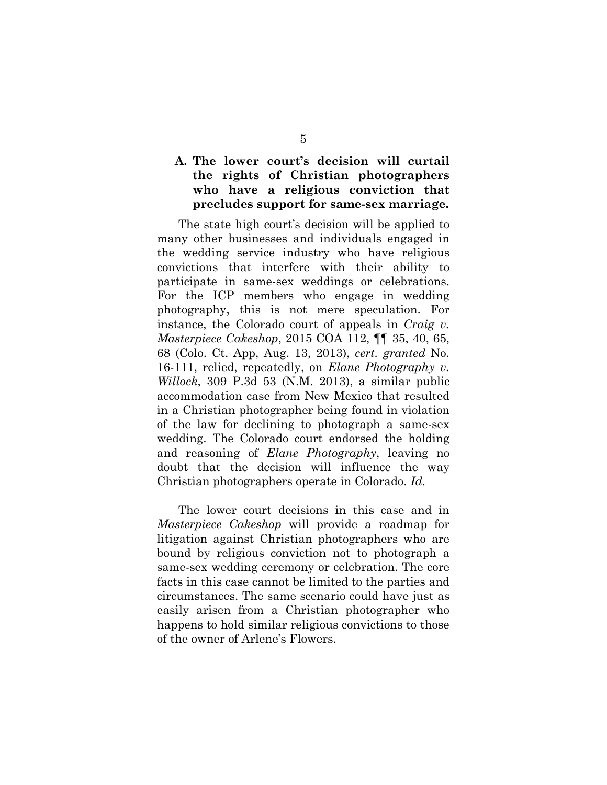## **A. The lower court's decision will curtail the rights of Christian photographers who have a religious conviction that precludes support for same-sex marriage.**

The state high court's decision will be applied to many other businesses and individuals engaged in the wedding service industry who have religious convictions that interfere with their ability to participate in same-sex weddings or celebrations. For the ICP members who engage in wedding photography, this is not mere speculation. For instance, the Colorado court of appeals in *Craig v. Masterpiece Cakeshop*, 2015 COA 112, ¶¶ 35, 40, 65, 68 (Colo. Ct. App, Aug. 13, 2013), *cert. granted* No. 16-111, relied, repeatedly, on *Elane Photography v. Willock*, 309 P.3d 53 (N.M. 2013), a similar public accommodation case from New Mexico that resulted in a Christian photographer being found in violation of the law for declining to photograph a same-sex wedding. The Colorado court endorsed the holding and reasoning of *Elane Photography*, leaving no doubt that the decision will influence the way Christian photographers operate in Colorado. *Id.*

The lower court decisions in this case and in *Masterpiece Cakeshop* will provide a roadmap for litigation against Christian photographers who are bound by religious conviction not to photograph a same-sex wedding ceremony or celebration. The core facts in this case cannot be limited to the parties and circumstances. The same scenario could have just as easily arisen from a Christian photographer who happens to hold similar religious convictions to those of the owner of Arlene's Flowers.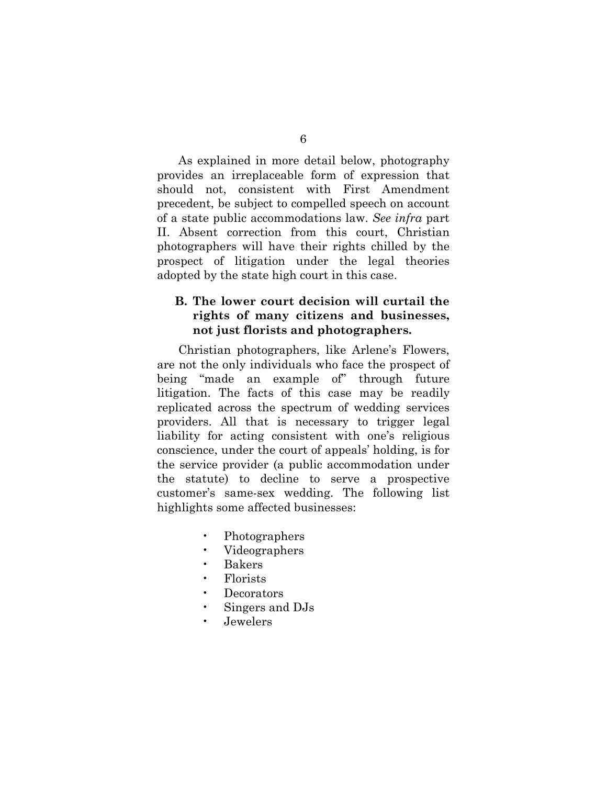As explained in more detail below, photography provides an irreplaceable form of expression that should not, consistent with First Amendment precedent, be subject to compelled speech on account of a state public accommodations law. *See infra* part II. Absent correction from this court, Christian photographers will have their rights chilled by the prospect of litigation under the legal theories adopted by the state high court in this case.

### **B. The lower court decision will curtail the rights of many citizens and businesses, not just florists and photographers.**

Christian photographers, like Arlene's Flowers, are not the only individuals who face the prospect of being "made an example of" through future litigation. The facts of this case may be readily replicated across the spectrum of wedding services providers. All that is necessary to trigger legal liability for acting consistent with one's religious conscience, under the court of appeals' holding, is for the service provider (a public accommodation under the statute) to decline to serve a prospective customer's same-sex wedding. The following list highlights some affected businesses:

- Photographers
- Videographers
- Bakers
- Florists
- Decorators
- Singers and DJs
- Jewelers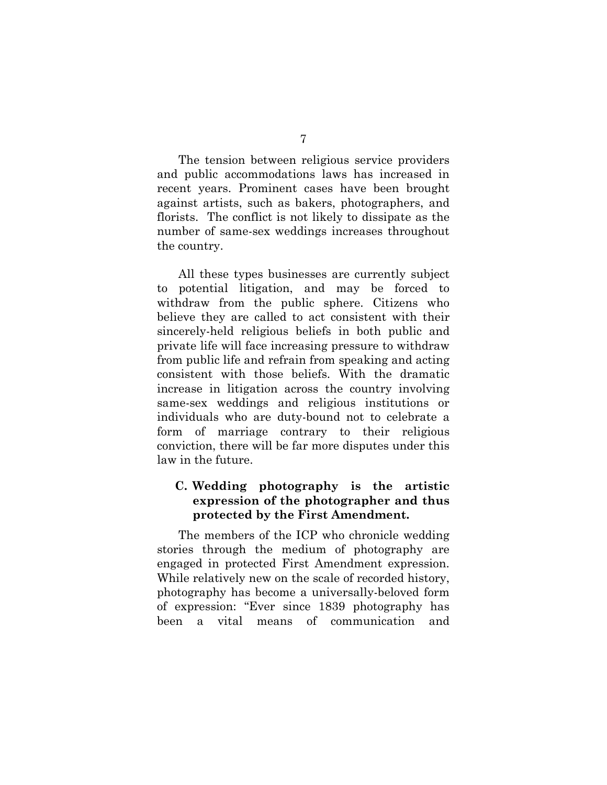The tension between religious service providers and public accommodations laws has increased in recent years. Prominent cases have been brought against artists, such as bakers, photographers, and florists. The conflict is not likely to dissipate as the number of same-sex weddings increases throughout the country.

All these types businesses are currently subject to potential litigation, and may be forced to withdraw from the public sphere. Citizens who believe they are called to act consistent with their sincerely-held religious beliefs in both public and private life will face increasing pressure to withdraw from public life and refrain from speaking and acting consistent with those beliefs. With the dramatic increase in litigation across the country involving same-sex weddings and religious institutions or individuals who are duty-bound not to celebrate a form of marriage contrary to their religious conviction, there will be far more disputes under this law in the future.

### **C. Wedding photography is the artistic expression of the photographer and thus protected by the First Amendment.**

The members of the ICP who chronicle wedding stories through the medium of photography are engaged in protected First Amendment expression. While relatively new on the scale of recorded history, photography has become a universally-beloved form of expression: "Ever since 1839 photography has been a vital means of communication and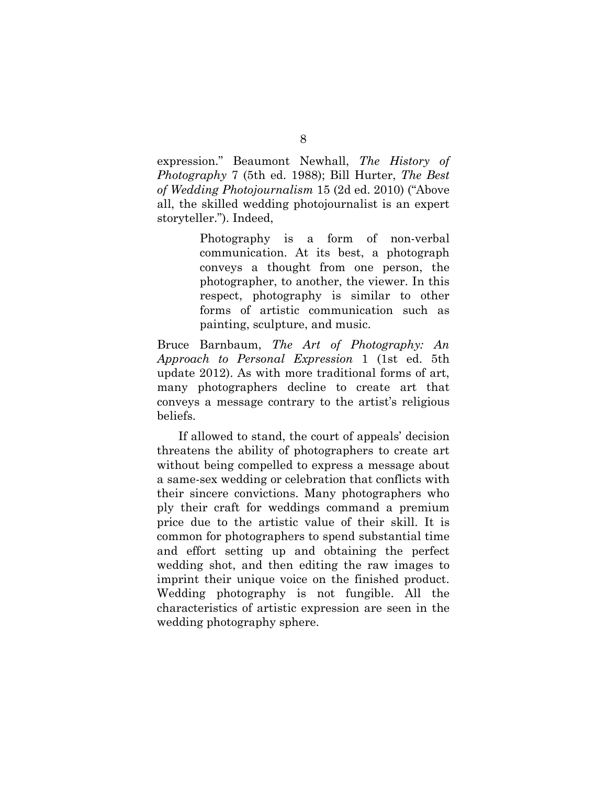expression." Beaumont Newhall, *The History of Photography* 7 (5th ed. 1988); Bill Hurter, *The Best of Wedding Photojournalism* 15 (2d ed. 2010) ("Above all, the skilled wedding photojournalist is an expert storyteller."). Indeed,

> Photography is a form of non-verbal communication. At its best, a photograph conveys a thought from one person, the photographer, to another, the viewer. In this respect, photography is similar to other forms of artistic communication such as painting, sculpture, and music.

Bruce Barnbaum, *The Art of Photography: An Approach to Personal Expression* 1 (1st ed. 5th update 2012). As with more traditional forms of art, many photographers decline to create art that conveys a message contrary to the artist's religious beliefs.

If allowed to stand, the court of appeals' decision threatens the ability of photographers to create art without being compelled to express a message about a same-sex wedding or celebration that conflicts with their sincere convictions. Many photographers who ply their craft for weddings command a premium price due to the artistic value of their skill. It is common for photographers to spend substantial time and effort setting up and obtaining the perfect wedding shot, and then editing the raw images to imprint their unique voice on the finished product. Wedding photography is not fungible. All the characteristics of artistic expression are seen in the wedding photography sphere.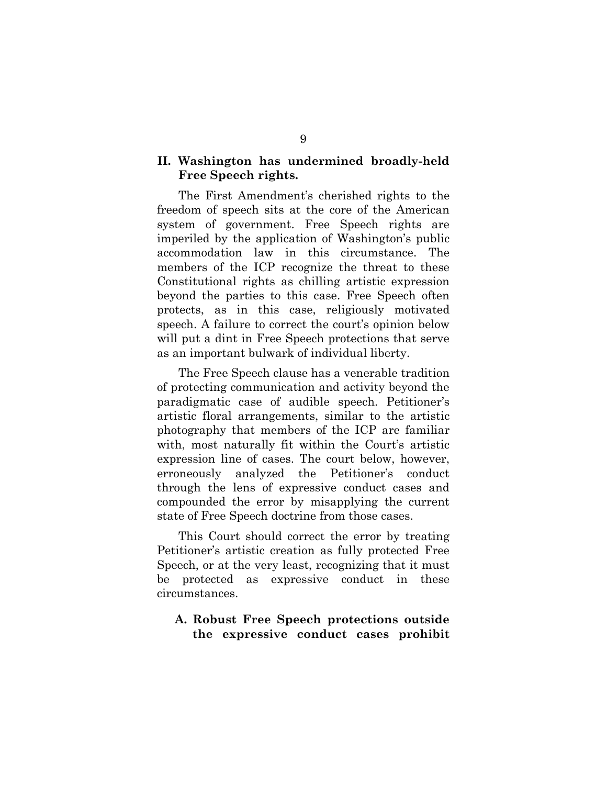#### **II. Washington has undermined broadly-held Free Speech rights.**

The First Amendment's cherished rights to the freedom of speech sits at the core of the American system of government. Free Speech rights are imperiled by the application of Washington's public accommodation law in this circumstance. The members of the ICP recognize the threat to these Constitutional rights as chilling artistic expression beyond the parties to this case. Free Speech often protects, as in this case, religiously motivated speech. A failure to correct the court's opinion below will put a dint in Free Speech protections that serve as an important bulwark of individual liberty.

The Free Speech clause has a venerable tradition of protecting communication and activity beyond the paradigmatic case of audible speech. Petitioner's artistic floral arrangements, similar to the artistic photography that members of the ICP are familiar with, most naturally fit within the Court's artistic expression line of cases. The court below, however, erroneously analyzed the Petitioner's conduct through the lens of expressive conduct cases and compounded the error by misapplying the current state of Free Speech doctrine from those cases.

This Court should correct the error by treating Petitioner's artistic creation as fully protected Free Speech, or at the very least, recognizing that it must be protected as expressive conduct in these circumstances.

### **A. Robust Free Speech protections outside the expressive conduct cases prohibit**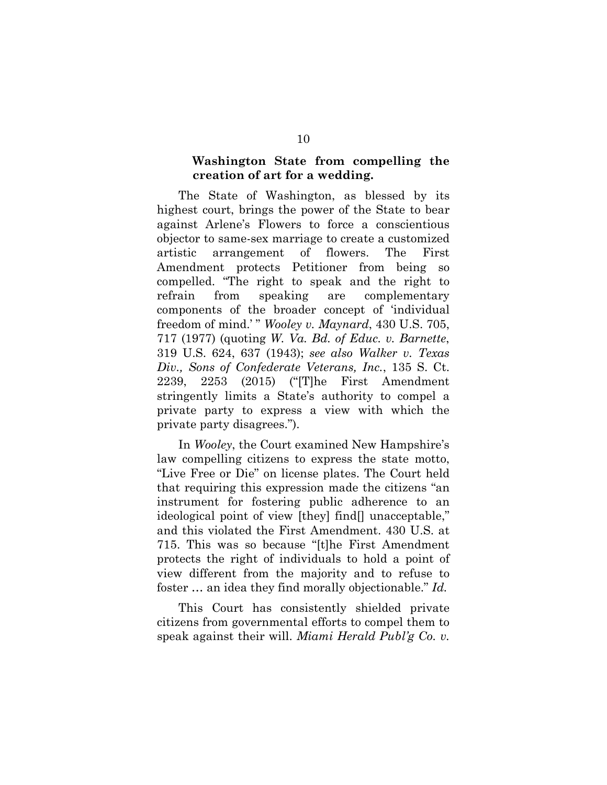#### **Washington State from compelling the creation of art for a wedding.**

The State of Washington, as blessed by its highest court, brings the power of the State to bear against Arlene's Flowers to force a conscientious objector to same-sex marriage to create a customized artistic arrangement of flowers. The First Amendment protects Petitioner from being so compelled. "The right to speak and the right to refrain from speaking are complementary components of the broader concept of 'individual freedom of mind.' " *Wooley v. Maynard*, 430 U.S. 705, 717 (1977) (quoting *W. Va. Bd. of Educ. v. Barnette*, 319 U.S. 624, 637 (1943); *see also Walker v. Texas Div., Sons of Confederate Veterans, Inc.*, 135 S. Ct. 2239, 2253 (2015) ("[T]he First Amendment stringently limits a State's authority to compel a private party to express a view with which the private party disagrees.").

In *Wooley*, the Court examined New Hampshire's law compelling citizens to express the state motto, "Live Free or Die" on license plates. The Court held that requiring this expression made the citizens "an instrument for fostering public adherence to an ideological point of view [they] find[] unacceptable," and this violated the First Amendment. 430 U.S. at 715. This was so because "[t]he First Amendment protects the right of individuals to hold a point of view different from the majority and to refuse to foster … an idea they find morally objectionable." *Id.* 

This Court has consistently shielded private citizens from governmental efforts to compel them to speak against their will. *Miami Herald Publ'g Co. v.*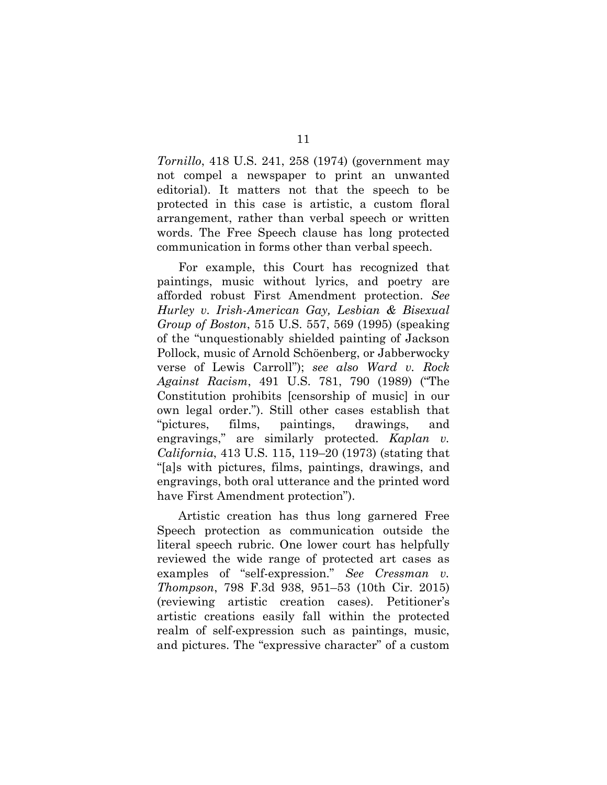*Tornillo*, 418 U.S. 241, 258 (1974) (government may not compel a newspaper to print an unwanted editorial). It matters not that the speech to be protected in this case is artistic, a custom floral arrangement, rather than verbal speech or written words. The Free Speech clause has long protected communication in forms other than verbal speech.

For example, this Court has recognized that paintings, music without lyrics, and poetry are afforded robust First Amendment protection. *See Hurley v. Irish-American Gay, Lesbian & Bisexual Group of Boston*, 515 U.S. 557, 569 (1995) (speaking of the "unquestionably shielded painting of Jackson Pollock, music of Arnold Schöenberg, or Jabberwocky verse of Lewis Carroll"); *see also Ward v. Rock Against Racism*, 491 U.S. 781, 790 (1989) ("The Constitution prohibits [censorship of music] in our own legal order."). Still other cases establish that "pictures, films, paintings, drawings, and engravings," are similarly protected. *Kaplan v. California*, 413 U.S. 115, 119–20 (1973) (stating that "[a]s with pictures, films, paintings, drawings, and engravings, both oral utterance and the printed word have First Amendment protection").

Artistic creation has thus long garnered Free Speech protection as communication outside the literal speech rubric. One lower court has helpfully reviewed the wide range of protected art cases as examples of "self-expression." *See Cressman v. Thompson*, 798 F.3d 938, 951–53 (10th Cir. 2015) (reviewing artistic creation cases). Petitioner's artistic creations easily fall within the protected realm of self-expression such as paintings, music, and pictures. The "expressive character" of a custom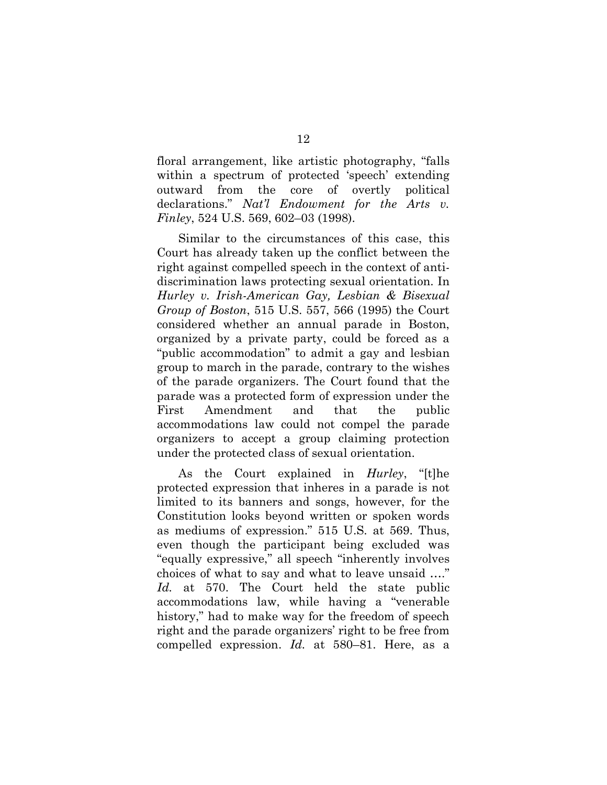floral arrangement, like artistic photography, "falls within a spectrum of protected 'speech' extending outward from the core of overtly political declarations." *Nat'l Endowment for the Arts v. Finley*, 524 U.S. 569, 602–03 (1998).

Similar to the circumstances of this case, this Court has already taken up the conflict between the right against compelled speech in the context of antidiscrimination laws protecting sexual orientation. In *Hurley v. Irish-American Gay, Lesbian & Bisexual Group of Boston*, 515 U.S. 557, 566 (1995) the Court considered whether an annual parade in Boston, organized by a private party, could be forced as a "public accommodation" to admit a gay and lesbian group to march in the parade, contrary to the wishes of the parade organizers. The Court found that the parade was a protected form of expression under the First Amendment and that the public accommodations law could not compel the parade organizers to accept a group claiming protection under the protected class of sexual orientation.

As the Court explained in *Hurley*, "[t]he protected expression that inheres in a parade is not limited to its banners and songs, however, for the Constitution looks beyond written or spoken words as mediums of expression." 515 U.S. at 569. Thus, even though the participant being excluded was "equally expressive," all speech "inherently involves choices of what to say and what to leave unsaid …." *Id.* at 570. The Court held the state public accommodations law, while having a "venerable history," had to make way for the freedom of speech right and the parade organizers' right to be free from compelled expression. *Id.* at 580–81. Here, as a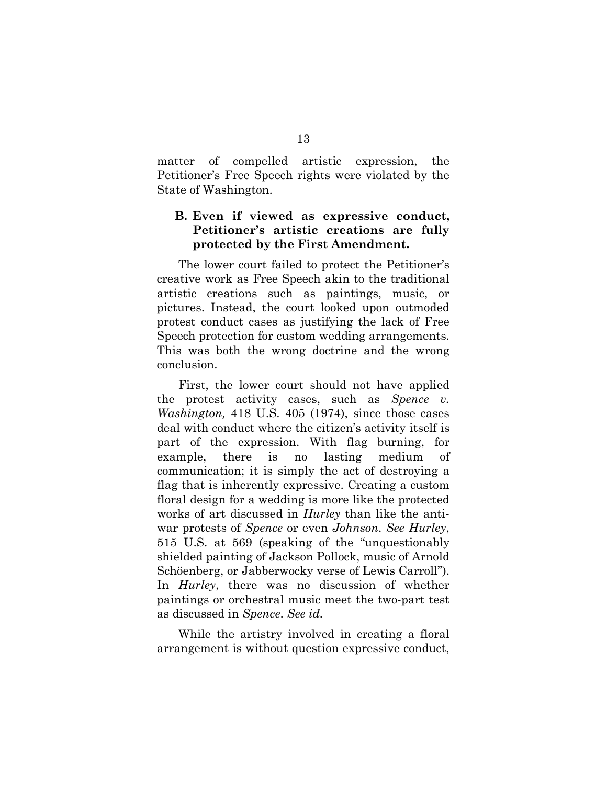matter of compelled artistic expression, the Petitioner's Free Speech rights were violated by the State of Washington.

### **B. Even if viewed as expressive conduct, Petitioner's artistic creations are fully protected by the First Amendment.**

The lower court failed to protect the Petitioner's creative work as Free Speech akin to the traditional artistic creations such as paintings, music, or pictures. Instead, the court looked upon outmoded protest conduct cases as justifying the lack of Free Speech protection for custom wedding arrangements. This was both the wrong doctrine and the wrong conclusion.

First, the lower court should not have applied the protest activity cases, such as *Spence v. Washington,* 418 U.S. 405 (1974), since those cases deal with conduct where the citizen's activity itself is part of the expression. With flag burning, for example, there is no lasting medium of communication; it is simply the act of destroying a flag that is inherently expressive. Creating a custom floral design for a wedding is more like the protected works of art discussed in *Hurley* than like the antiwar protests of *Spence* or even *Johnson*. *See Hurley*, 515 U.S. at 569 (speaking of the "unquestionably shielded painting of Jackson Pollock, music of Arnold Schöenberg, or Jabberwocky verse of Lewis Carroll"). In *Hurley*, there was no discussion of whether paintings or orchestral music meet the two-part test as discussed in *Spence*. *See id.*

While the artistry involved in creating a floral arrangement is without question expressive conduct,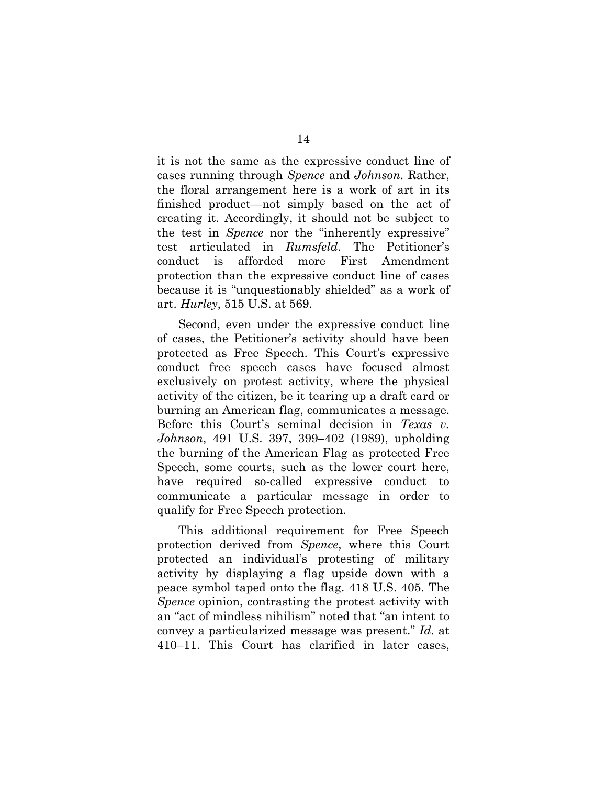it is not the same as the expressive conduct line of cases running through *Spence* and *Johnson*. Rather, the floral arrangement here is a work of art in its finished product—not simply based on the act of creating it. Accordingly, it should not be subject to the test in *Spence* nor the "inherently expressive" test articulated in *Rumsfeld*. The Petitioner's conduct is afforded more First Amendment protection than the expressive conduct line of cases because it is "unquestionably shielded" as a work of art. *Hurley*, 515 U.S. at 569.

Second, even under the expressive conduct line of cases, the Petitioner's activity should have been protected as Free Speech. This Court's expressive conduct free speech cases have focused almost exclusively on protest activity, where the physical activity of the citizen, be it tearing up a draft card or burning an American flag, communicates a message. Before this Court's seminal decision in *Texas v. Johnson*, 491 U.S. 397, 399–402 (1989), upholding the burning of the American Flag as protected Free Speech, some courts, such as the lower court here, have required so-called expressive conduct to communicate a particular message in order to qualify for Free Speech protection.

This additional requirement for Free Speech protection derived from *Spence*, where this Court protected an individual's protesting of military activity by displaying a flag upside down with a peace symbol taped onto the flag. 418 U.S. 405. The *Spence* opinion, contrasting the protest activity with an "act of mindless nihilism" noted that "an intent to convey a particularized message was present." *Id.* at 410–11. This Court has clarified in later cases,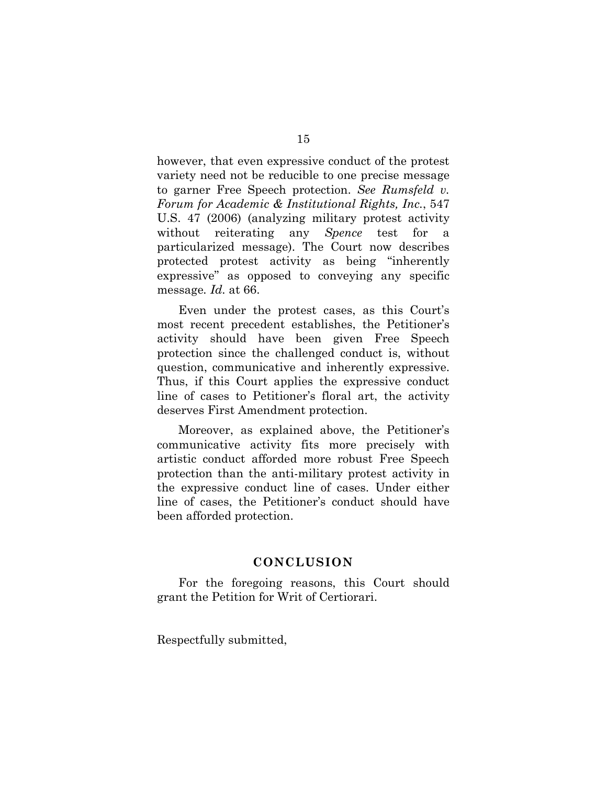however, that even expressive conduct of the protest variety need not be reducible to one precise message to garner Free Speech protection. *See Rumsfeld v. Forum for Academic & Institutional Rights, Inc.*, 547 U.S. 47 (2006) (analyzing military protest activity without reiterating any *Spence* test for a particularized message). The Court now describes protected protest activity as being "inherently expressive" as opposed to conveying any specific message*. Id.* at 66.

Even under the protest cases, as this Court's most recent precedent establishes, the Petitioner's activity should have been given Free Speech protection since the challenged conduct is, without question, communicative and inherently expressive. Thus, if this Court applies the expressive conduct line of cases to Petitioner's floral art, the activity deserves First Amendment protection.

Moreover, as explained above, the Petitioner's communicative activity fits more precisely with artistic conduct afforded more robust Free Speech protection than the anti-military protest activity in the expressive conduct line of cases. Under either line of cases, the Petitioner's conduct should have been afforded protection.

#### **CONCLUSION**

For the foregoing reasons, this Court should grant the Petition for Writ of Certiorari.

Respectfully submitted,